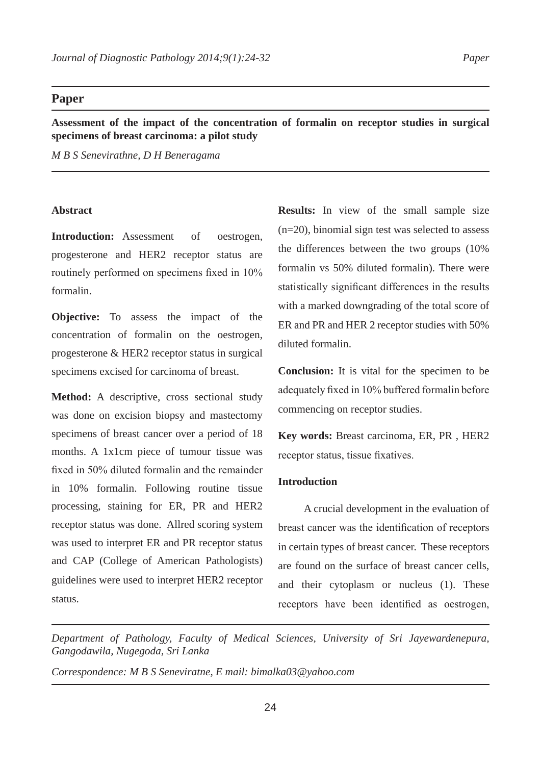#### **Paper**

**Assessment of the impact of the concentration of formalin on receptor studies in surgical specimens of breast carcinoma: a pilot study** 

*M B S Senevirathne, D H Beneragama*

#### **Abstract**

**Introduction:** Assessment of oestrogen, progesterone and HER2 receptor status are routinely performed on specimens fixed in 10% formalin.

**Objective:** To assess the impact of the concentration of formalin on the oestrogen, progesterone & HER2 receptor status in surgical specimens excised for carcinoma of breast.

**Method:** A descriptive, cross sectional study was done on excision biopsy and mastectomy specimens of breast cancer over a period of 18 months. A 1x1cm piece of tumour tissue was fixed in 50% diluted formalin and the remainder in 10% formalin. Following routine tissue processing, staining for ER, PR and HER2 receptor status was done. Allred scoring system was used to interpret ER and PR receptor status and CAP (College of American Pathologists) guidelines were used to interpret HER2 receptor status.

**Results:** In view of the small sample size (n=20), binomial sign test was selected to assess the differences between the two groups (10% formalin vs 50% diluted formalin). There were statistically significant differences in the results with a marked downgrading of the total score of ER and PR and HER 2 receptor studies with 50% diluted formalin.

**Conclusion:** It is vital for the specimen to be adequately fixed in 10% buffered formalin before commencing on receptor studies.

**Key words:** Breast carcinoma, ER, PR , HER2 receptor status, tissue fixatives.

## **Introduction**

A crucial development in the evaluation of breast cancer was the identification of receptors in certain types of breast cancer. These receptors are found on the surface of breast cancer cells, and their cytoplasm or nucleus (1). These receptors have been identified as oestrogen,

*Department of Pathology, Faculty of Medical Sciences, University of Sri Jayewardenepura, Gangodawila, Nugegoda, Sri Lanka*

*Correspondence: M B S Seneviratne, E mail: bimalka03@yahoo.com*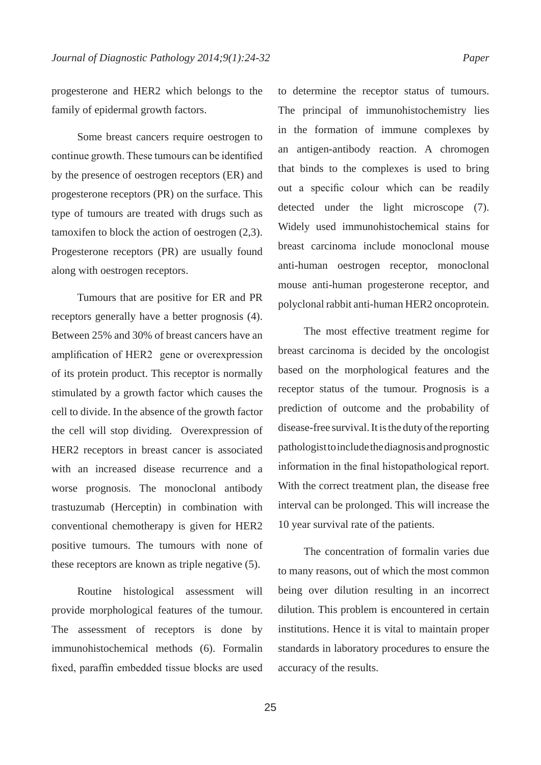progesterone and HER2 which belongs to the family of epidermal growth factors.

Some breast cancers require oestrogen to continue growth. These tumours can be identified by the presence of oestrogen receptors (ER) and progesterone receptors (PR) on the surface. This type of tumours are treated with drugs such as tamoxifen to block the action of oestrogen (2,3). Progesterone receptors (PR) are usually found along with oestrogen receptors.

Tumours that are positive for ER and PR receptors generally have a better prognosis (4). Between 25% and 30% of breast cancers have an amplification of HER2 gene or overexpression of its protein product. This receptor is normally stimulated by a growth factor which causes the cell to divide. In the absence of the growth factor the cell will stop dividing. Overexpression of HER2 receptors in breast cancer is associated with an increased disease recurrence and a worse prognosis. The monoclonal antibody trastuzumab (Herceptin) in combination with conventional chemotherapy is given for HER2 positive tumours. The tumours with none of these receptors are known as triple negative (5).

Routine histological assessment will provide morphological features of the tumour. The assessment of receptors is done by immunohistochemical methods (6). Formalin fixed, paraffin embedded tissue blocks are used to determine the receptor status of tumours. The principal of immunohistochemistry lies in the formation of immune complexes by an antigen-antibody reaction. A chromogen that binds to the complexes is used to bring out a specific colour which can be readily detected under the light microscope (7). Widely used immunohistochemical stains for breast carcinoma include monoclonal mouse anti-human oestrogen receptor, monoclonal mouse anti-human progesterone receptor, and polyclonal rabbit anti-human HER2 oncoprotein.

The most effective treatment regime for breast carcinoma is decided by the oncologist based on the morphological features and the receptor status of the tumour. Prognosis is a prediction of outcome and the probability of disease-free survival. It is the duty of the reporting pathologist to include the diagnosis and prognostic information in the final histopathological report. With the correct treatment plan, the disease free interval can be prolonged. This will increase the 10 year survival rate of the patients.

The concentration of formalin varies due to many reasons, out of which the most common being over dilution resulting in an incorrect dilution. This problem is encountered in certain institutions. Hence it is vital to maintain proper standards in laboratory procedures to ensure the accuracy of the results.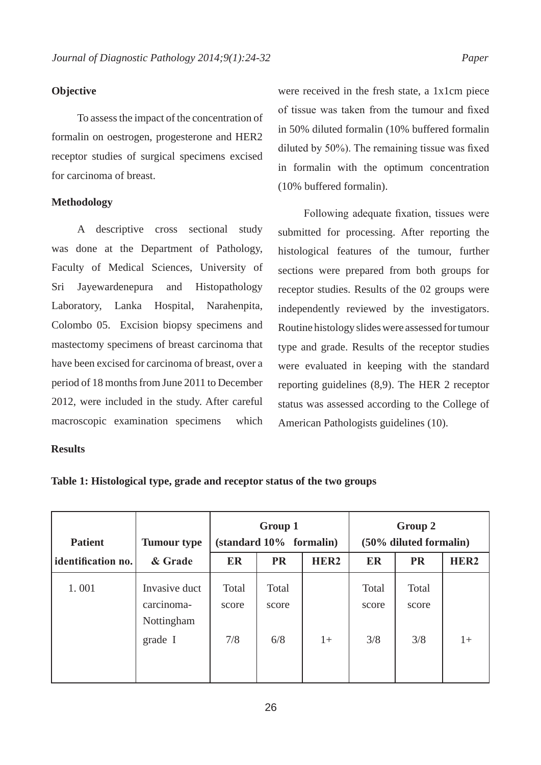#### **Objective**

To assess the impact of the concentration of formalin on oestrogen, progesterone and HER2 receptor studies of surgical specimens excised for carcinoma of breast.

### **Methodology**

A descriptive cross sectional study was done at the Department of Pathology, Faculty of Medical Sciences, University of Sri Jayewardenepura and Histopathology Laboratory, Lanka Hospital, Narahenpita, Colombo 05. Excision biopsy specimens and mastectomy specimens of breast carcinoma that have been excised for carcinoma of breast, over a period of 18 months from June 2011 to December 2012, were included in the study. After careful macroscopic examination specimens which

# were received in the fresh state, a 1x1cm piece of tissue was taken from the tumour and fixed in 50% diluted formalin (10% buffered formalin diluted by 50%). The remaining tissue was fixed in formalin with the optimum concentration (10% buffered formalin).

Following adequate fixation, tissues were submitted for processing. After reporting the histological features of the tumour, further sections were prepared from both groups for receptor studies. Results of the 02 groups were independently reviewed by the investigators. Routine histology slides were assessed for tumour type and grade. Results of the receptor studies were evaluated in keeping with the standard reporting guidelines (8,9). The HER 2 receptor status was assessed according to the College of American Pathologists guidelines (10).

#### **Results**

| <b>Patient</b>     | <b>Tumour type</b>                        | Group 1<br>(standard 10% formalin) |                |                  | Group 2<br>(50% diluted formalin) |                |                  |
|--------------------|-------------------------------------------|------------------------------------|----------------|------------------|-----------------------------------|----------------|------------------|
| identification no. | & Grade                                   | ER                                 | <b>PR</b>      | HER <sub>2</sub> | ER                                | <b>PR</b>      | HER <sub>2</sub> |
| 1.001              | Invasive duct<br>carcinoma-<br>Nottingham | Total<br>score                     | Total<br>score |                  | Total<br>score                    | Total<br>score |                  |
|                    | grade I                                   | 7/8                                | 6/8            | $1+$             | 3/8                               | 3/8            | $1+$             |

#### **Table 1: Histological type, grade and receptor status of the two groups**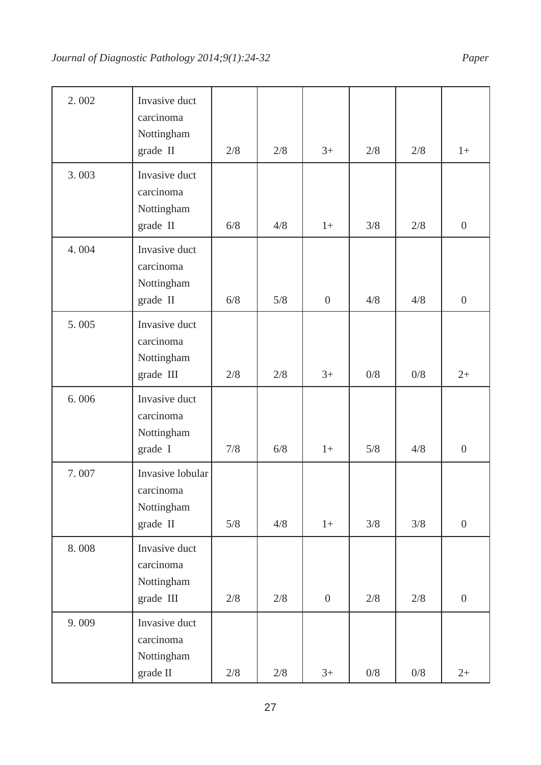| 2.002 | Invasive duct<br>carcinoma<br>Nottingham<br>grade II    | 2/8 | 2/8 | $3+$             | 2/8   | 2/8   | $1+$             |
|-------|---------------------------------------------------------|-----|-----|------------------|-------|-------|------------------|
| 3.003 | Invasive duct<br>carcinoma<br>Nottingham<br>grade II    | 6/8 | 4/8 | $1+$             | 3/8   | 2/8   | $\boldsymbol{0}$ |
| 4.004 | Invasive duct<br>carcinoma<br>Nottingham<br>grade II    | 6/8 | 5/8 | $\boldsymbol{0}$ | 4/8   | 4/8   | $\boldsymbol{0}$ |
| 5.005 | Invasive duct<br>carcinoma<br>Nottingham<br>grade III   | 2/8 | 2/8 | $3+$             | 0/8   | 0/8   | $2+$             |
| 6.006 | Invasive duct<br>carcinoma<br>Nottingham<br>grade I     | 7/8 | 6/8 | $1+$             | 5/8   | 4/8   | $\boldsymbol{0}$ |
| 7.007 | Invasive lobular<br>carcinoma<br>Nottingham<br>grade II | 5/8 | 4/8 | $1+$             | 3/8   | 3/8   | $\boldsymbol{0}$ |
| 8.008 | Invasive duct<br>carcinoma<br>Nottingham<br>grade III   | 2/8 | 2/8 | $\boldsymbol{0}$ | 2/8   | 2/8   | $\boldsymbol{0}$ |
| 9.009 | Invasive duct<br>carcinoma<br>Nottingham<br>grade II    | 2/8 | 2/8 | $3+$             | $0/8$ | $0/8$ | $2+$             |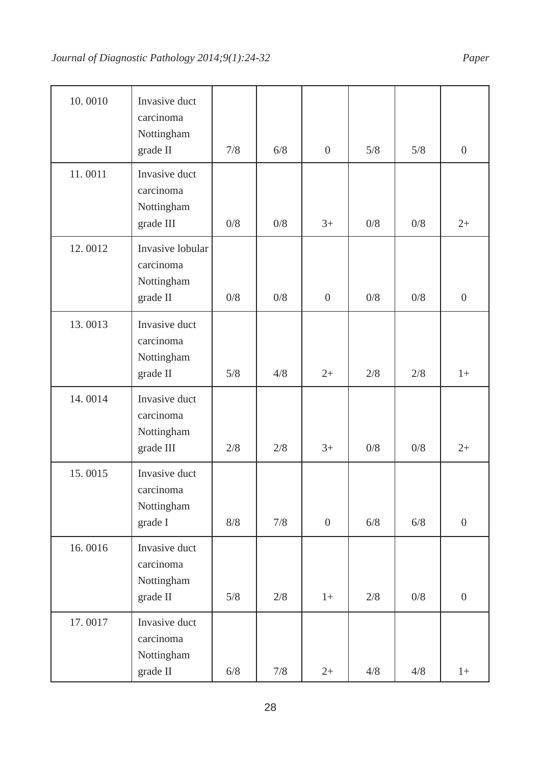| 10.0010 | Invasive duct<br>carcinoma<br>Nottingham<br>grade II    | 7/8 | 6/8 | $\overline{0}$   | 5/8 | 5/8   | $\boldsymbol{0}$ |
|---------|---------------------------------------------------------|-----|-----|------------------|-----|-------|------------------|
| 11.0011 | Invasive duct<br>carcinoma<br>Nottingham<br>grade III   | 0/8 | 0/8 | $3+$             | 0/8 | 0/8   | $2+$             |
| 12.0012 | Invasive lobular<br>carcinoma<br>Nottingham<br>grade II | 0/8 | 0/8 | $\boldsymbol{0}$ | 0/8 | 0/8   | $\overline{0}$   |
| 13.0013 | Invasive duct<br>carcinoma<br>Nottingham<br>grade II    | 5/8 | 4/8 | $2+$             | 2/8 | 2/8   | $1+$             |
| 14.0014 | Invasive duct<br>carcinoma<br>Nottingham<br>grade III   | 2/8 | 2/8 | $3+$             | 0/8 | 0/8   | $2+$             |
| 15.0015 | Invasive duct<br>carcinoma<br>Nottingham<br>grade I     | 8/8 | 7/8 | $\boldsymbol{0}$ | 6/8 | 6/8   | $\boldsymbol{0}$ |
| 16.0016 | Invasive duct<br>carcinoma<br>Nottingham<br>grade II    | 5/8 | 2/8 | $1+$             | 2/8 | $0/8$ | $\boldsymbol{0}$ |
| 17.0017 | Invasive duct<br>carcinoma<br>Nottingham<br>grade II    | 6/8 | 7/8 | $2+$             | 4/8 | 4/8   | $1+$             |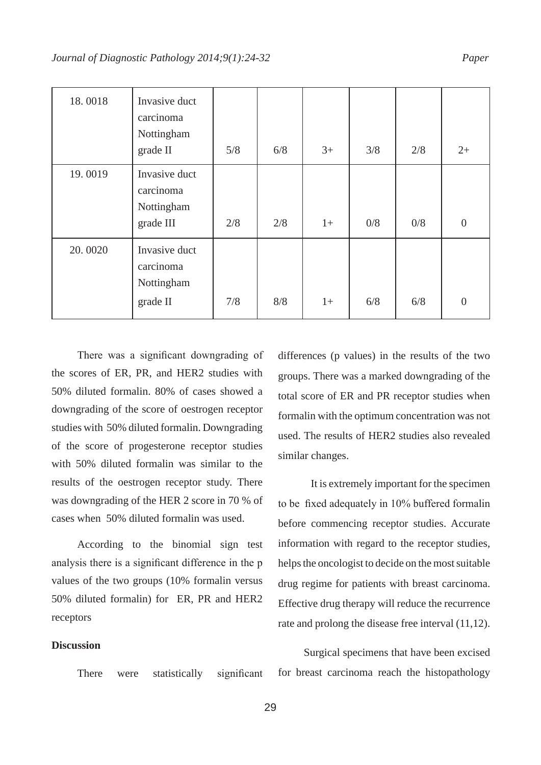| 18.0018 | Invasive duct<br>carcinoma<br>Nottingham<br>grade II  | 5/8 | 6/8 | $3+$ | 3/8 | 2/8 | $2+$           |
|---------|-------------------------------------------------------|-----|-----|------|-----|-----|----------------|
| 19.0019 | Invasive duct<br>carcinoma<br>Nottingham<br>grade III | 2/8 | 2/8 | $1+$ | 0/8 | 0/8 | $\overline{0}$ |
| 20.0020 | Invasive duct<br>carcinoma<br>Nottingham<br>grade II  | 7/8 | 8/8 | $1+$ | 6/8 | 6/8 | $\overline{0}$ |

There was a significant downgrading of the scores of ER, PR, and HER2 studies with 50% diluted formalin. 80% of cases showed a downgrading of the score of oestrogen receptor studies with 50% diluted formalin. Downgrading of the score of progesterone receptor studies with 50% diluted formalin was similar to the results of the oestrogen receptor study. There was downgrading of the HER 2 score in 70 % of cases when 50% diluted formalin was used.

According to the binomial sign test analysis there is a significant difference in the p values of the two groups (10% formalin versus 50% diluted formalin) for ER, PR and HER2 receptors

### **Discussion**

There were statistically significant

differences (p values) in the results of the two groups. There was a marked downgrading of the total score of ER and PR receptor studies when formalin with the optimum concentration was not used. The results of HER2 studies also revealed similar changes.

It is extremely important for the specimen to be fixed adequately in 10% buffered formalin before commencing receptor studies. Accurate information with regard to the receptor studies, helps the oncologist to decide on the most suitable drug regime for patients with breast carcinoma. Effective drug therapy will reduce the recurrence rate and prolong the disease free interval (11,12).

Surgical specimens that have been excised for breast carcinoma reach the histopathology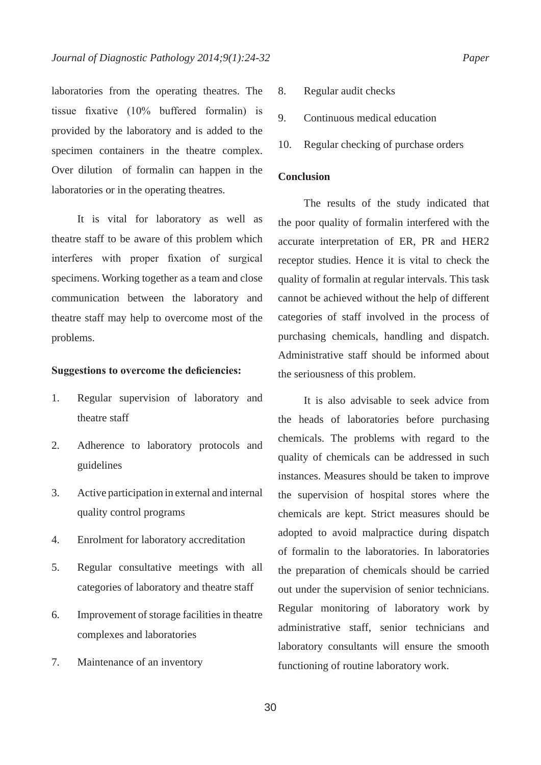laboratories from the operating theatres. The tissue fixative (10% buffered formalin) is provided by the laboratory and is added to the specimen containers in the theatre complex. Over dilution of formalin can happen in the laboratories or in the operating theatres.

It is vital for laboratory as well as theatre staff to be aware of this problem which interferes with proper fixation of surgical specimens. Working together as a team and close communication between the laboratory and theatre staff may help to overcome most of the problems.

#### **Suggestions to overcome the deficiencies:**

- 1. Regular supervision of laboratory and theatre staff
- 2. Adherence to laboratory protocols and guidelines
- 3. Active participation in external and internal quality control programs
- 4. Enrolment for laboratory accreditation
- 5. Regular consultative meetings with all categories of laboratory and theatre staff
- 6. Improvement of storage facilities in theatre complexes and laboratories
- 7. Maintenance of an inventory
- 8. Regular audit checks
- 9. Continuous medical education
- 10. Regular checking of purchase orders

### **Conclusion**

The results of the study indicated that the poor quality of formalin interfered with the accurate interpretation of ER, PR and HER2 receptor studies. Hence it is vital to check the quality of formalin at regular intervals. This task cannot be achieved without the help of different categories of staff involved in the process of purchasing chemicals, handling and dispatch. Administrative staff should be informed about the seriousness of this problem.

It is also advisable to seek advice from the heads of laboratories before purchasing chemicals. The problems with regard to the quality of chemicals can be addressed in such instances. Measures should be taken to improve the supervision of hospital stores where the chemicals are kept. Strict measures should be adopted to avoid malpractice during dispatch of formalin to the laboratories. In laboratories the preparation of chemicals should be carried out under the supervision of senior technicians. Regular monitoring of laboratory work by administrative staff, senior technicians and laboratory consultants will ensure the smooth functioning of routine laboratory work.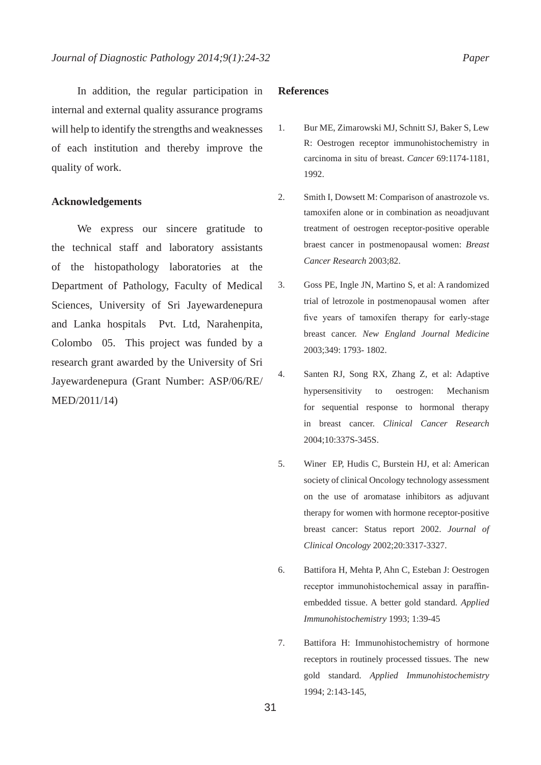In addition, the regular participation in internal and external quality assurance programs will help to identify the strengths and weaknesses of each institution and thereby improve the quality of work.

#### **Acknowledgements**

We express our sincere gratitude to the technical staff and laboratory assistants of the histopathology laboratories at the Department of Pathology, Faculty of Medical Sciences, University of Sri Jayewardenepura and Lanka hospitals Pvt. Ltd, Narahenpita, Colombo 05. This project was funded by a research grant awarded by the University of Sri Jayewardenepura (Grant Number: ASP/06/RE/ MED/2011/14)

#### **References**

- 1. Bur ME, Zimarowski MJ, Schnitt SJ, Baker S, Lew R: Oestrogen receptor immunohistochemistry in carcinoma in situ of breast. *Cancer* 69:1174-1181, 1992.
- 2. Smith I, Dowsett M: Comparison of anastrozole vs. tamoxifen alone or in combination as neoadjuvant treatment of oestrogen receptor-positive operable braest cancer in postmenopausal women: *Breast Cancer Research* 2003;82.
- 3. Goss PE, Ingle JN, Martino S, et al: A randomized trial of letrozole in postmenopausal women after five years of tamoxifen therapy for early-stage breast cancer. *New England Journal Medicine*  2003;349: 1793- 1802.
- 4. Santen RJ, Song RX, Zhang Z, et al: Adaptive hypersensitivity to oestrogen: Mechanism for sequential response to hormonal therapy in breast cancer. *Clinical Cancer Research*  2004;10:337S-345S.
- 5. Winer EP, Hudis C, Burstein HJ, et al: American society of clinical Oncology technology assessment on the use of aromatase inhibitors as adjuvant therapy for women with hormone receptor-positive breast cancer: Status report 2002. *Journal of Clinical Oncology* 2002;20:3317-3327.
- 6. Battifora H, Mehta P, Ahn C, Esteban J: Oestrogen receptor immunohistochemical assay in paraffinembedded tissue. A better gold standard. *Applied Immunohistochemistry* 1993; 1:39-45
- 7. Battifora H: Immunohistochemistry of hormone receptors in routinely processed tissues. The new gold standard. *Applied Immunohistochemistry*  1994; 2:143-145,